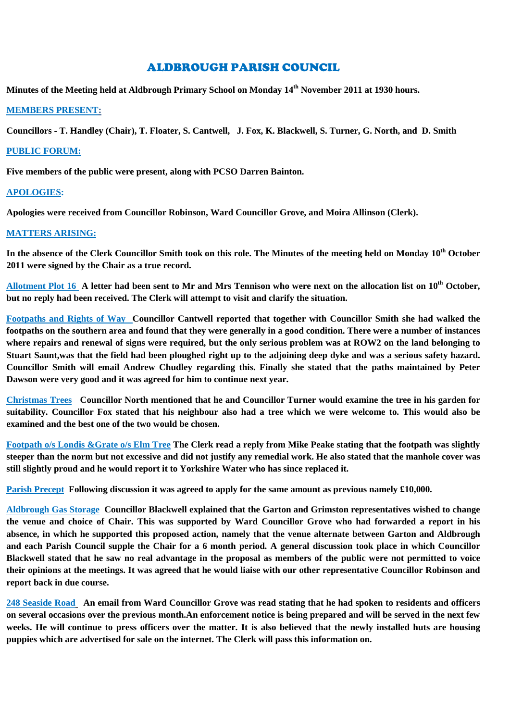# ALDBROUGH PARISH COUNCIL

**Minutes of the Meeting held at Aldbrough Primary School on Monday 14th November 2011 at 1930 hours.**

#### **MEMBERS PRESENT:**

**Councillors - T. Handley (Chair), T. Floater, S. Cantwell, J. Fox, K. Blackwell, S. Turner, G. North, and D. Smith**

#### **PUBLIC FORUM:**

**Five members of the public were present, along with PCSO Darren Bainton.**

### **APOLOGIES:**

**Apologies were received from Councillor Robinson, Ward Councillor Grove, and Moira Allinson (Clerk).**

### **MATTERS ARISING:**

**In the absence of the Clerk Councillor Smith took on this role. The Minutes of the meeting held on Monday 10 th October 2011 were signed by the Chair as a true record.**

**Allotment Plot 16 A letter had been sent to Mr and Mrs Tennison who were next on the allocation list on 10th October, but no reply had been received. The Clerk will attempt to visit and clarify the situation.**

**Footpaths and Rights of Way Councillor Cantwell reported that together with Councillor Smith she had walked the footpaths on the southern area and found that they were generally in a good condition. There were a number of instances where repairs and renewal of signs were required, but the only serious problem was at ROW2 on the land belonging to Stuart Saunt,was that the field had been ploughed right up to the adjoining deep dyke and was a serious safety hazard. Councillor Smith will email Andrew Chudley regarding this. Finally she stated that the paths maintained by Peter Dawson were very good and it was agreed for him to continue next year.**

**Christmas Trees Councillor North mentioned that he and Councillor Turner would examine the tree in his garden for suitability. Councillor Fox stated that his neighbour also had a tree which we were welcome to. This would also be examined and the best one of the two would be chosen.**

**Footpath o/s Londis &Grate o/s Elm Tree The Clerk read a reply from Mike Peake stating that the footpath was slightly steeper than the norm but not excessive and did not justify any remedial work. He also stated that the manhole cover was still slightly proud and he would report it to Yorkshire Water who has since replaced it.**

**Parish Precept Following discussion it was agreed to apply for the same amount as previous namely £10,000.**

**Aldbrough Gas Storage Councillor Blackwell explained that the Garton and Grimston representatives wished to change the venue and choice of Chair. This was supported by Ward Councillor Grove who had forwarded a report in his absence, in which he supported this proposed action, namely that the venue alternate between Garton and Aldbrough and each Parish Council supple the Chair for a 6 month period. A general discussion took place in which Councillor Blackwell stated that he saw no real advantage in the proposal as members of the public were not permitted to voice their opinions at the meetings. It was agreed that he would liaise with our other representative Councillor Robinson and report back in due course.**

**248 Seaside Road An email from Ward Councillor Grove was read stating that he had spoken to residents and officers on several occasions over the previous month.An enforcement notice is being prepared and will be served in the next few weeks. He will continue to press officers over the matter. It is also believed that the newly installed huts are housing puppies which are advertised for sale on the internet. The Clerk will pass this information on.**